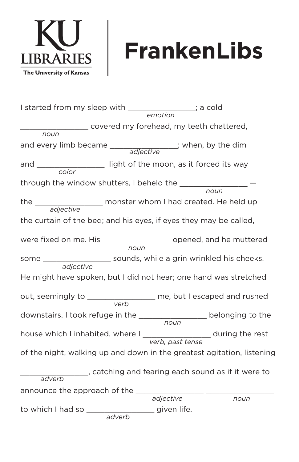

## **FrankenLibs**

I started from my sleep with \_\_\_\_\_\_\_\_\_\_\_\_\_\_\_; a cold \_\_\_\_\_\_\_\_\_\_\_\_\_\_\_ covered my forehead, my teeth chattered, and every limb became \_\_\_\_\_\_\_\_\_\_\_\_\_\_\_; when, by the dim and \_\_\_\_\_\_\_\_\_\_\_\_\_\_\_\_\_\_\_ light of the moon, as it forced its way through the window shutters, I beheld the \_\_\_\_\_\_\_ **the \_\_\_\_\_\_\_** monster whom I had created. He held up the curtain of the bed; and his eyes, if eyes they may be called, were fixed on me. His \_\_\_\_\_\_\_\_\_\_\_\_\_\_\_\_\_\_\_\_\_ opened, and he muttered some \_\_\_\_\_\_\_\_\_\_\_\_\_\_\_\_\_\_\_\_\_ sounds, while a grin wrinkled his cheeks. He might have spoken, but I did not hear; one hand was stretched out, seemingly to \_\_\_\_\_\_\_\_\_\_\_\_\_\_\_ me, but I escaped and rushed downstairs. I took refuge in the \_\_\_\_\_\_\_\_\_\_\_\_\_\_\_ belonging to the house which I inhabited, where I \_\_\_\_\_\_\_\_\_\_\_\_\_\_\_\_\_ during the rest of the night, walking up and down in the greatest agitation, listening \_\_\_\_\_\_\_\_\_\_\_\_\_\_\_, catching and fearing each sound as if it were to announce the approach of the \_\_\_\_\_\_\_\_\_ to which I had so \_\_\_\_\_\_\_\_\_\_\_\_\_\_\_ given life. *emotion noun noun noun noun noun verb adverb adverb verb, past tense adjective adjective adjective adjective color*